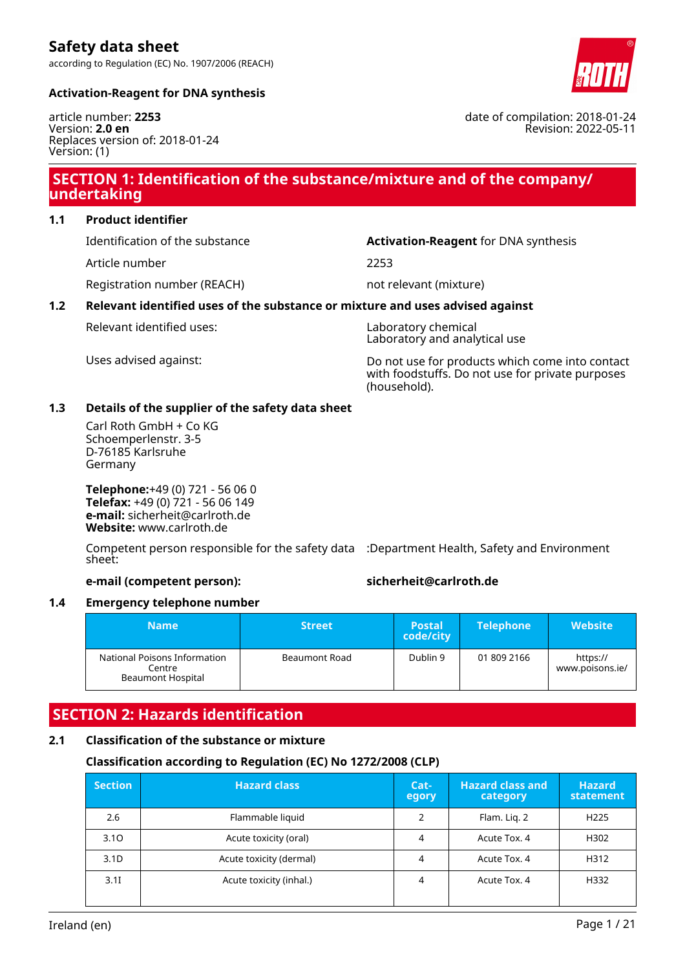according to Regulation (EC) No. 1907/2006 (REACH)



date of compilation: 2018-01-24

Revision: 2022-05-11

#### **Activation-Reagent for DNA synthesis**

article number: **2253** Version: **2.0 en** Replaces version of: 2018-01-24 Version: (1)

# **SECTION 1: Identification of the substance/mixture and of the company/ undertaking**

**1.1 Product identifier**

Article number 2253

Registration number (REACH) not relevant (mixture)

Identification of the substance **Activation-Reagent** for DNA synthesis

### **1.2 Relevant identified uses of the substance or mixture and uses advised against**

Relevant identified uses: Laboratory chemical

Laboratory and analytical use

Uses advised against: Do not use for products which come into contact with foodstuffs. Do not use for private purposes (household).

#### **1.3 Details of the supplier of the safety data sheet**

Carl Roth GmbH + Co KG Schoemperlenstr. 3-5 D-76185 Karlsruhe Germany

**Telephone:**+49 (0) 721 - 56 06 0 **Telefax:** +49 (0) 721 - 56 06 149 **e-mail:** sicherheit@carlroth.de **Website:** www.carlroth.de

Competent person responsible for the safety data :Department Health, Safety and Environment sheet:

**e-mail (competent person): sicherheit@carlroth.de**

### **1.4 Emergency telephone number**

| Mame'                                                              | <b>Street</b>        | <b>Postal</b><br>code/city | <b>Telephone</b> | <b>Website</b>              |
|--------------------------------------------------------------------|----------------------|----------------------------|------------------|-----------------------------|
| National Poisons Information<br>Centre<br><b>Beaumont Hospital</b> | <b>Beaumont Road</b> | Dublin 9                   | 01 809 2166      | https://<br>www.poisons.ie/ |

# **SECTION 2: Hazards identification**

### **2.1 Classification of the substance or mixture**

### **Classification according to Regulation (EC) No 1272/2008 (CLP)**

| <b>Section</b>   | <b>Hazard class</b>     | Cat-<br>egory | <b>Hazard class and</b><br>category | <b>Hazard</b><br>statement |
|------------------|-------------------------|---------------|-------------------------------------|----------------------------|
| 2.6              | Flammable liquid        | 2             | Flam. Lig. 2                        | H <sub>225</sub>           |
| 3.10             | Acute toxicity (oral)   | 4             | Acute Tox. 4                        | H302                       |
| 3.1 <sub>D</sub> | Acute toxicity (dermal) | 4             | Acute Tox. 4                        | H312                       |
| 3.11             | Acute toxicity (inhal.) | 4             | Acute Tox. 4                        | H332                       |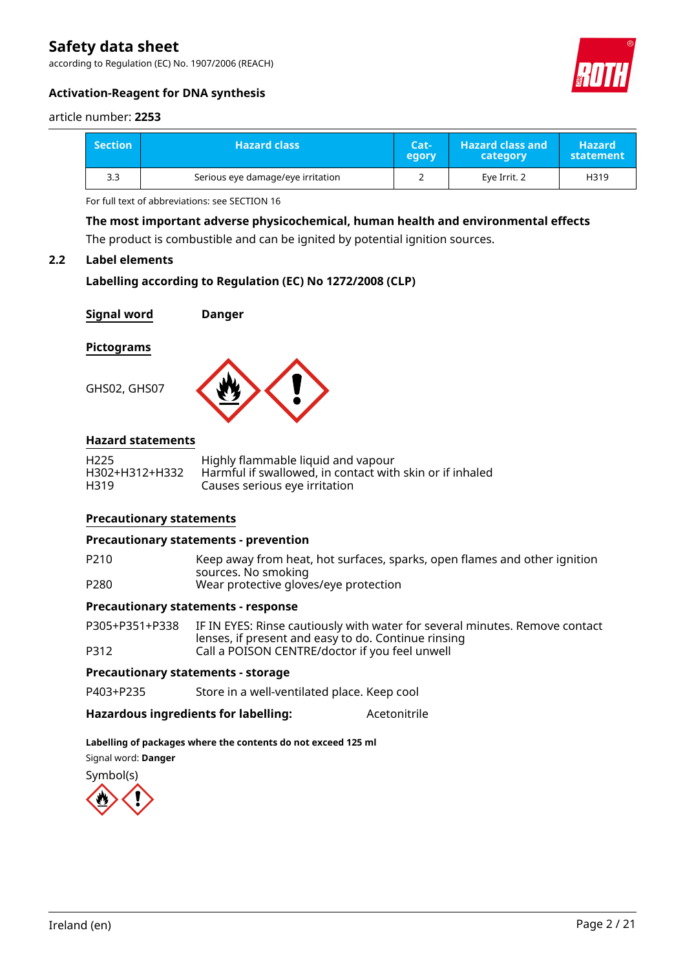according to Regulation (EC) No. 1907/2006 (REACH)



### **Activation-Reagent for DNA synthesis**

#### article number: **2253**

| <b>Section</b> | <b>Hazard class</b>               | Cat-<br>egory | <b>Hazard class and</b><br>category | <b>Hazard</b><br>statement |
|----------------|-----------------------------------|---------------|-------------------------------------|----------------------------|
| 3.3            | Serious eye damage/eye irritation |               | Eye Irrit. 2                        | H319                       |

For full text of abbreviations: see SECTION 16

**The most important adverse physicochemical, human health and environmental effects**

The product is combustible and can be ignited by potential ignition sources.

#### **2.2 Label elements**

```
Labelling according to Regulation (EC) No 1272/2008 (CLP)
```
**Signal word Danger Pictograms**

#### **Hazard statements**

GHS02, GHS07

| H <sub>225</sub> | Highly flammable liquid and vapour                       |
|------------------|----------------------------------------------------------|
| H302+H312+H332   | Harmful if swallowed, in contact with skin or if inhaled |
| H319             | Causes serious eye irritation                            |

### **Precautionary statements**

#### **Precautionary statements - prevention**

P210 Keep away from heat, hot surfaces, sparks, open flames and other ignition sources. No smoking P280 Wear protective gloves/eye protection

#### **Precautionary statements - response**

P305+P351+P338 IF IN EYES: Rinse cautiously with water for several minutes. Remove contact lenses, if present and easy to do. Continue rinsing P312 Call a POISON CENTRE/doctor if you feel unwell

#### **Precautionary statements - storage**

P403+P235 Store in a well-ventilated place. Keep cool

### Hazardous ingredients for labelling: Acetonitrile

#### **Labelling of packages where the contents do not exceed 125 ml**

Signal word: **Danger**

Symbol(s)

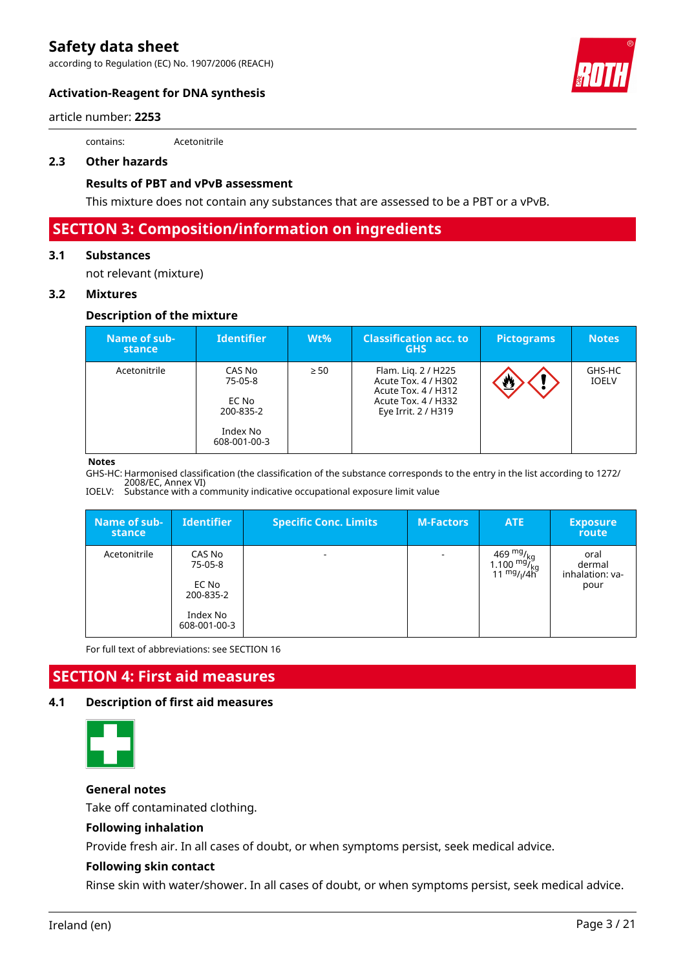according to Regulation (EC) No. 1907/2006 (REACH)



### **Activation-Reagent for DNA synthesis**

article number: **2253**

contains: Acetonitrile

#### **2.3 Other hazards**

#### **Results of PBT and vPvB assessment**

This mixture does not contain any substances that are assessed to be a PBT or a vPvB.

# **SECTION 3: Composition/information on ingredients**

#### **3.1 Substances**

not relevant (mixture)

#### **3.2 Mixtures**

#### **Description of the mixture**

| Name of sub-<br><b>stance</b> | <b>Identifier</b>                                                   | $Wt\%$    | <b>Classification acc. to</b><br><b>GHS</b>                                                                     | <b>Pictograms</b>   | <b>Notes</b>           |
|-------------------------------|---------------------------------------------------------------------|-----------|-----------------------------------------------------------------------------------------------------------------|---------------------|------------------------|
| Acetonitrile                  | CAS No<br>75-05-8<br>EC No<br>200-835-2<br>Index No<br>608-001-00-3 | $\geq 50$ | Flam. Lig. 2 / H225<br>Acute Tox. 4 / H302<br>Acute Tox. 4 / H312<br>Acute Tox. 4 / H332<br>Eye Irrit. 2 / H319 | $\overline{\Omega}$ | GHS-HC<br><b>IOELV</b> |

#### **Notes**

GHS-HC: Harmonised classification (the classification of the substance corresponds to the entry in the list according to 1272/ 2008/EC, Annex VI)

IOELV: Substance with a community indicative occupational exposure limit value

| Name of sub-<br>stance | <b>Identifier</b>                                                   | <b>Specific Conc. Limits</b> | <b>M-Factors</b>         | ATE                                                                                                             | <b>Exposure</b><br>route                  |
|------------------------|---------------------------------------------------------------------|------------------------------|--------------------------|-----------------------------------------------------------------------------------------------------------------|-------------------------------------------|
| Acetonitrile           | CAS No<br>75-05-8<br>EC No<br>200-835-2<br>Index No<br>608-001-00-3 |                              | $\overline{\phantom{a}}$ | 469 <sup>mg</sup> / <sub>kg</sub><br>1.100 <sup>mg</sup> / <sub>kg</sub><br>11 <sup>mg</sup> / <sub>l</sub> /4h | oral<br>dermal<br>inhalation: va-<br>pour |

For full text of abbreviations: see SECTION 16

# **SECTION 4: First aid measures**

#### **4.1 Description of first aid measures**



**General notes**

Take off contaminated clothing.

#### **Following inhalation**

Provide fresh air. In all cases of doubt, or when symptoms persist, seek medical advice.

#### **Following skin contact**

Rinse skin with water/shower. In all cases of doubt, or when symptoms persist, seek medical advice.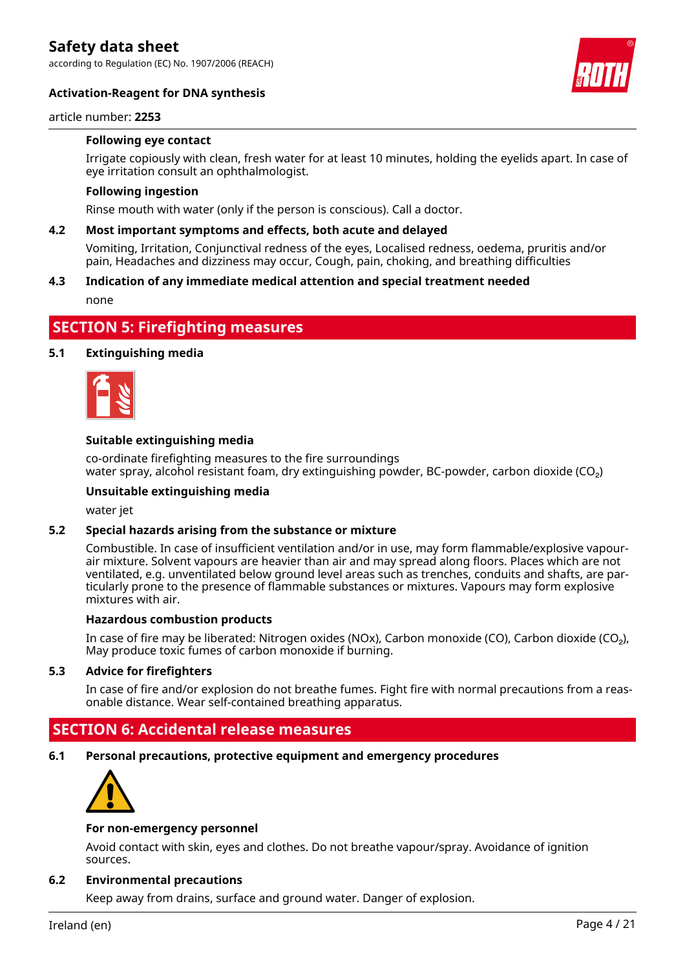according to Regulation (EC) No. 1907/2006 (REACH)

#### **Activation-Reagent for DNA synthesis**



#### article number: **2253**

#### **Following eye contact**

Irrigate copiously with clean, fresh water for at least 10 minutes, holding the eyelids apart. In case of eye irritation consult an ophthalmologist.

#### **Following ingestion**

Rinse mouth with water (only if the person is conscious). Call a doctor.

#### **4.2 Most important symptoms and effects, both acute and delayed**

Vomiting, Irritation, Conjunctival redness of the eyes, Localised redness, oedema, pruritis and/or pain, Headaches and dizziness may occur, Cough, pain, choking, and breathing difficulties

#### **4.3 Indication of any immediate medical attention and special treatment needed**

none

## **SECTION 5: Firefighting measures**

#### **5.1 Extinguishing media**



#### **Suitable extinguishing media**

co-ordinate firefighting measures to the fire surroundings water spray, alcohol resistant foam, dry extinguishing powder, BC-powder, carbon dioxide (CO<sub>2</sub>)

#### **Unsuitable extinguishing media**

water jet

#### **5.2 Special hazards arising from the substance or mixture**

Combustible. In case of insufficient ventilation and/or in use, may form flammable/explosive vapourair mixture. Solvent vapours are heavier than air and may spread along floors. Places which are not ventilated, e.g. unventilated below ground level areas such as trenches, conduits and shafts, are particularly prone to the presence of flammable substances or mixtures. Vapours may form explosive mixtures with air.

#### **Hazardous combustion products**

In case of fire may be liberated: Nitrogen oxides (NOx), Carbon monoxide (CO), Carbon dioxide (CO₂), May produce toxic fumes of carbon monoxide if burning.

#### **5.3 Advice for firefighters**

In case of fire and/or explosion do not breathe fumes. Fight fire with normal precautions from a reasonable distance. Wear self-contained breathing apparatus.

## **SECTION 6: Accidental release measures**

**6.1 Personal precautions, protective equipment and emergency procedures**



#### **For non-emergency personnel**

Avoid contact with skin, eyes and clothes. Do not breathe vapour/spray. Avoidance of ignition sources.

#### **6.2 Environmental precautions**

Keep away from drains, surface and ground water. Danger of explosion.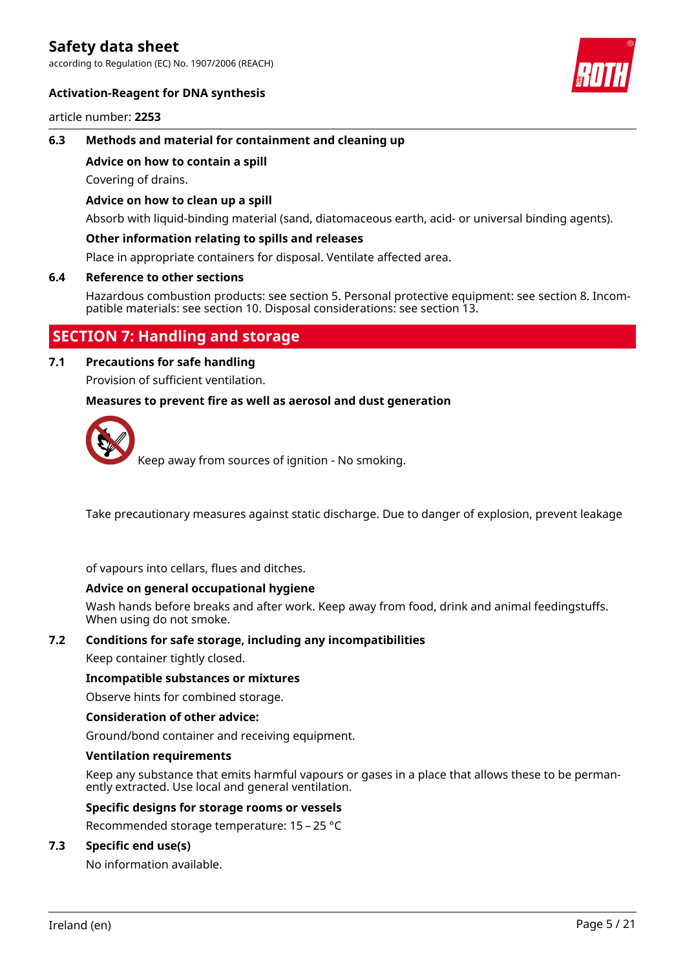according to Regulation (EC) No. 1907/2006 (REACH)



#### **Activation-Reagent for DNA synthesis**

article number: **2253**

#### **6.3 Methods and material for containment and cleaning up**

#### **Advice on how to contain a spill**

Covering of drains.

#### **Advice on how to clean up a spill**

Absorb with liquid-binding material (sand, diatomaceous earth, acid- or universal binding agents).

#### **Other information relating to spills and releases**

Place in appropriate containers for disposal. Ventilate affected area.

#### **6.4 Reference to other sections**

Hazardous combustion products: see section 5. Personal protective equipment: see section 8. Incompatible materials: see section 10. Disposal considerations: see section 13.

# **SECTION 7: Handling and storage**

#### **7.1 Precautions for safe handling**

Provision of sufficient ventilation.

#### **Measures to prevent fire as well as aerosol and dust generation**



Keep away from sources of ignition - No smoking.

Take precautionary measures against static discharge. Due to danger of explosion, prevent leakage

of vapours into cellars, flues and ditches.

#### **Advice on general occupational hygiene**

Wash hands before breaks and after work. Keep away from food, drink and animal feedingstuffs. When using do not smoke.

#### **7.2 Conditions for safe storage, including any incompatibilities**

Keep container tightly closed.

#### **Incompatible substances or mixtures**

Observe hints for combined storage.

#### **Consideration of other advice:**

Ground/bond container and receiving equipment.

#### **Ventilation requirements**

Keep any substance that emits harmful vapours or gases in a place that allows these to be permanently extracted. Use local and general ventilation.

### **Specific designs for storage rooms or vessels**

Recommended storage temperature: 15 – 25 °C

### **7.3 Specific end use(s)**

No information available.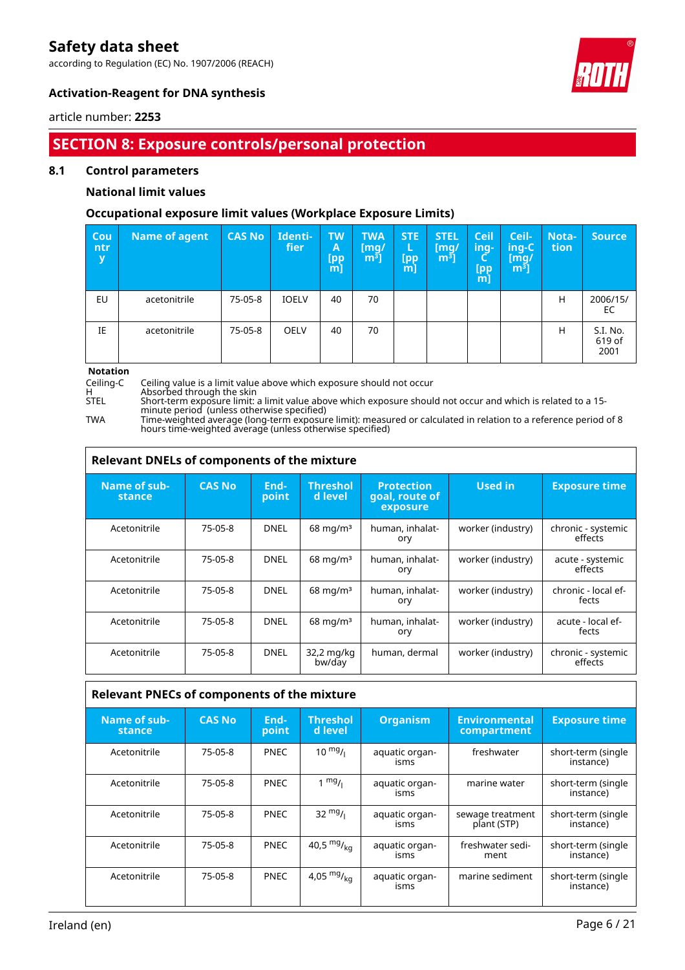according to Regulation (EC) No. 1907/2006 (REACH)



### **Activation-Reagent for DNA synthesis**

article number: **2253**

# **SECTION 8: Exposure controls/personal protection**

#### **8.1 Control parameters**

### **National limit values**

### **Occupational exposure limit values (Workplace Exposure Limits)**

| Cou<br>ntr<br>y | Name of agent | <b>CAS No</b> | Identi-<br>fier | <b>TW</b><br>A<br>L <sub>pp</sub><br>m] | <b>TWA</b><br>[mg/<br>$m3$ ] | <b>STE</b><br>L<br>[pp<br>m] | <b>STEL</b><br>[mg/<br>$\overline{m^3}$ ] | <b>Ceil</b><br>ing-<br>[pp<br>m] | Ceil-<br>ing-C<br>[mg/<br>$\lceil m^3 \rceil$ | <b>Nota-</b><br>tion | <b>Source</b>              |
|-----------------|---------------|---------------|-----------------|-----------------------------------------|------------------------------|------------------------------|-------------------------------------------|----------------------------------|-----------------------------------------------|----------------------|----------------------------|
| EU              | acetonitrile  | 75-05-8       | <b>IOELV</b>    | 40                                      | 70                           |                              |                                           |                                  |                                               | Н                    | 2006/15/<br>EC             |
| IE              | acetonitrile  | 75-05-8       | <b>OELV</b>     | 40                                      | 70                           |                              |                                           |                                  |                                               | Н                    | S.I. No.<br>619 of<br>2001 |

# **Notation**

Ceiling-C Ceiling value is a limit value above which exposure should not occur

H Absorbed through the skin

STEL Short-term exposure limit: a limit value above which exposure should not occur and which is related to a 15 minute period (unless otherwise specified)

TWA Time-weighted average (long-term exposure limit): measured or calculated in relation to a reference period of 8 hours time-weighted average (unless otherwise specified)

| Relevant DNELs of components of the mixture |               |               |                            |                                                 |                   |                               |  |  |  |
|---------------------------------------------|---------------|---------------|----------------------------|-------------------------------------------------|-------------------|-------------------------------|--|--|--|
| Name of sub-<br>stance                      | <b>CAS No</b> | End-<br>point | <b>Threshol</b><br>d level | <b>Protection</b><br>goal, route of<br>exposure | <b>Used in</b>    | <b>Exposure time</b>          |  |  |  |
| Acetonitrile                                | 75-05-8       | <b>DNEL</b>   | $68 \text{ mg/m}^3$        | human, inhalat-<br>ory                          | worker (industry) | chronic - systemic<br>effects |  |  |  |
| Acetonitrile                                | 75-05-8       | <b>DNEL</b>   | $68 \text{ mg/m}^3$        | human, inhalat-<br>ory                          | worker (industry) | acute - systemic<br>effects   |  |  |  |
| Acetonitrile                                | $75-05-8$     | <b>DNEL</b>   | $68 \text{ mg/m}^3$        | human, inhalat-<br>ory                          | worker (industry) | chronic - local ef-<br>fects  |  |  |  |
| Acetonitrile                                | 75-05-8       | <b>DNEL</b>   | $68 \text{ mg/m}^3$        | human, inhalat-<br>ory                          | worker (industry) | acute - local ef-<br>fects    |  |  |  |
| Acetonitrile                                | 75-05-8       | <b>DNEL</b>   | 32,2 mg/kg<br>bw/day       | human, dermal                                   | worker (industry) | chronic - systemic<br>effects |  |  |  |

### **Relevant PNECs of components of the mixture**

| Name of sub-<br>stance | <b>CAS No</b> | End-<br>point | <b>Threshol</b><br>d level | <b>Organism</b>        | <b>Environmental</b><br>compartment | <b>Exposure time</b>            |  |  |
|------------------------|---------------|---------------|----------------------------|------------------------|-------------------------------------|---------------------------------|--|--|
| Acetonitrile           | 75-05-8       | <b>PNEC</b>   | $10 \frac{mg}{l}$          | aquatic organ-<br>isms | freshwater                          | short-term (single<br>instance) |  |  |
| Acetonitrile           | 75-05-8       | <b>PNEC</b>   | $1 \text{ mg}/1$           | aquatic organ-<br>isms | marine water                        | short-term (single<br>instance) |  |  |
| Acetonitrile           | 75-05-8       | <b>PNEC</b>   | $32 \frac{mg}{l}$          | aquatic organ-<br>isms | sewage treatment<br>plant (STP)     | short-term (single<br>instance) |  |  |
| Acetonitrile           | 75-05-8       | <b>PNEC</b>   | 40,5 $mg/kq$               | aquatic organ-<br>isms | freshwater sedi-<br>ment            | short-term (single<br>instance) |  |  |
| Acetonitrile           | 75-05-8       | <b>PNEC</b>   | 4,05 $mg/_{ka}$            | aquatic organ-<br>isms | marine sediment                     | short-term (single<br>instance) |  |  |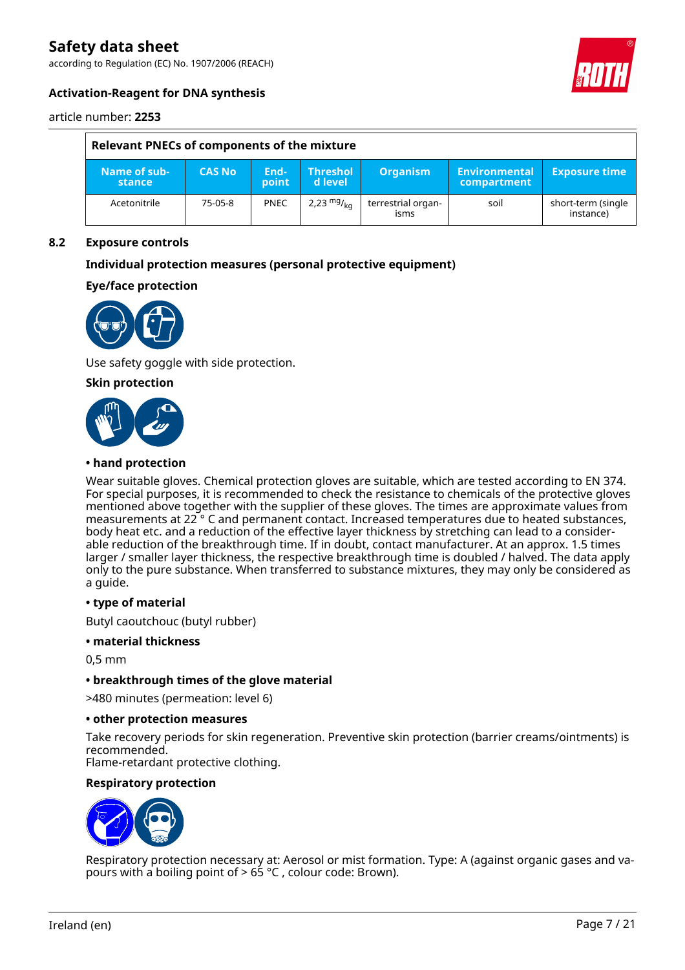according to Regulation (EC) No. 1907/2006 (REACH)



### **Activation-Reagent for DNA synthesis**

article number: **2253**

| Relevant PNECs of components of the mixture |               |               |                            |                            |                                      |                                 |  |  |
|---------------------------------------------|---------------|---------------|----------------------------|----------------------------|--------------------------------------|---------------------------------|--|--|
| Name of sub-<br>stance                      | <b>CAS No</b> | End-<br>point | <b>Threshol</b><br>d level | <b>Organism</b>            | 'Environmental<br><b>compartment</b> | <b>Exposure time</b>            |  |  |
| Acetonitrile                                | 75-05-8       | <b>PNEC</b>   | 2,23 $mg/kq$               | terrestrial organ-<br>isms | soil                                 | short-term (single<br>instance) |  |  |

#### **8.2 Exposure controls**

#### **Individual protection measures (personal protective equipment)**

### **Eye/face protection**



Use safety goggle with side protection.

#### **Skin protection**



#### **• hand protection**

Wear suitable gloves. Chemical protection gloves are suitable, which are tested according to EN 374. For special purposes, it is recommended to check the resistance to chemicals of the protective gloves mentioned above together with the supplier of these gloves. The times are approximate values from measurements at 22 ° C and permanent contact. Increased temperatures due to heated substances, body heat etc. and a reduction of the effective layer thickness by stretching can lead to a considerable reduction of the breakthrough time. If in doubt, contact manufacturer. At an approx. 1.5 times larger / smaller layer thickness, the respective breakthrough time is doubled / halved. The data apply only to the pure substance. When transferred to substance mixtures, they may only be considered as a guide.

#### **• type of material**

Butyl caoutchouc (butyl rubber)

#### **• material thickness**

0,5 mm

#### **• breakthrough times of the glove material**

>480 minutes (permeation: level 6)

#### **• other protection measures**

Take recovery periods for skin regeneration. Preventive skin protection (barrier creams/ointments) is recommended.

Flame-retardant protective clothing.

#### **Respiratory protection**



Respiratory protection necessary at: Aerosol or mist formation. Type: A (against organic gases and vapours with a boiling point of > 65 °C , colour code: Brown).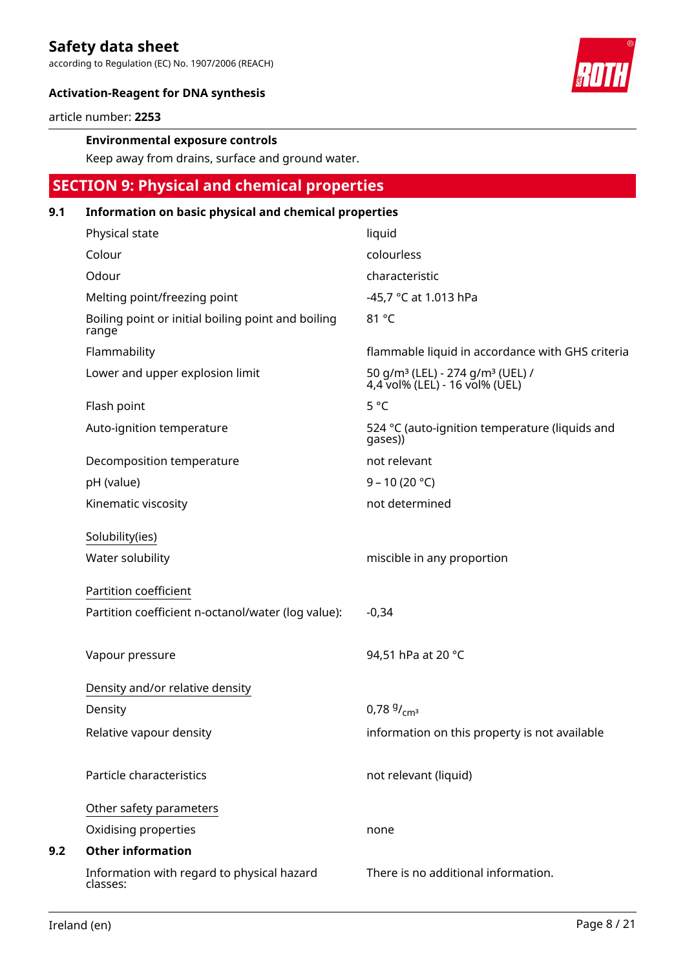according to Regulation (EC) No. 1907/2006 (REACH)



### **Activation-Reagent for DNA synthesis**

article number: **2253**

#### **Environmental exposure controls**

Keep away from drains, surface and ground water.

# **SECTION 9: Physical and chemical properties 9.1 Information on basic physical and chemical properties**

| Physical state                                              | liquid                                                                                     |
|-------------------------------------------------------------|--------------------------------------------------------------------------------------------|
| Colour                                                      | colourless                                                                                 |
| Odour                                                       | characteristic                                                                             |
| Melting point/freezing point                                | -45,7 °C at 1.013 hPa                                                                      |
| Boiling point or initial boiling point and boiling<br>range | 81 °C                                                                                      |
| Flammability                                                | flammable liquid in accordance with GHS criteria                                           |
| Lower and upper explosion limit                             | 50 g/m <sup>3</sup> (LEL) - 274 g/m <sup>3</sup> (UEL) /<br>4,4 vol% (LEL) - 16 vol% (UEL) |
| Flash point                                                 | $5^{\circ}$ C                                                                              |
| Auto-ignition temperature                                   | 524 °C (auto-ignition temperature (liquids and<br>gases))                                  |
| Decomposition temperature                                   | not relevant                                                                               |
| pH (value)                                                  | $9 - 10(20 °C)$                                                                            |
| Kinematic viscosity                                         | not determined                                                                             |
| Solubility(ies)                                             |                                                                                            |
| Water solubility                                            | miscible in any proportion                                                                 |
| Partition coefficient                                       |                                                                                            |
| Partition coefficient n-octanol/water (log value):          | $-0,34$                                                                                    |
|                                                             |                                                                                            |
| Vapour pressure                                             | 94,51 hPa at 20 °C                                                                         |
| Density and/or relative density                             |                                                                                            |
| Density                                                     | $0.78\frac{9}{cm^3}$                                                                       |
| Relative vapour density                                     | information on this property is not available                                              |
|                                                             |                                                                                            |
| Particle characteristics                                    | not relevant (liquid)                                                                      |
| Other safety parameters                                     |                                                                                            |
| Oxidising properties                                        | none                                                                                       |
| <b>Other information</b>                                    |                                                                                            |
| Information with regard to physical hazard<br>classes:      | There is no additional information.                                                        |

**9.2**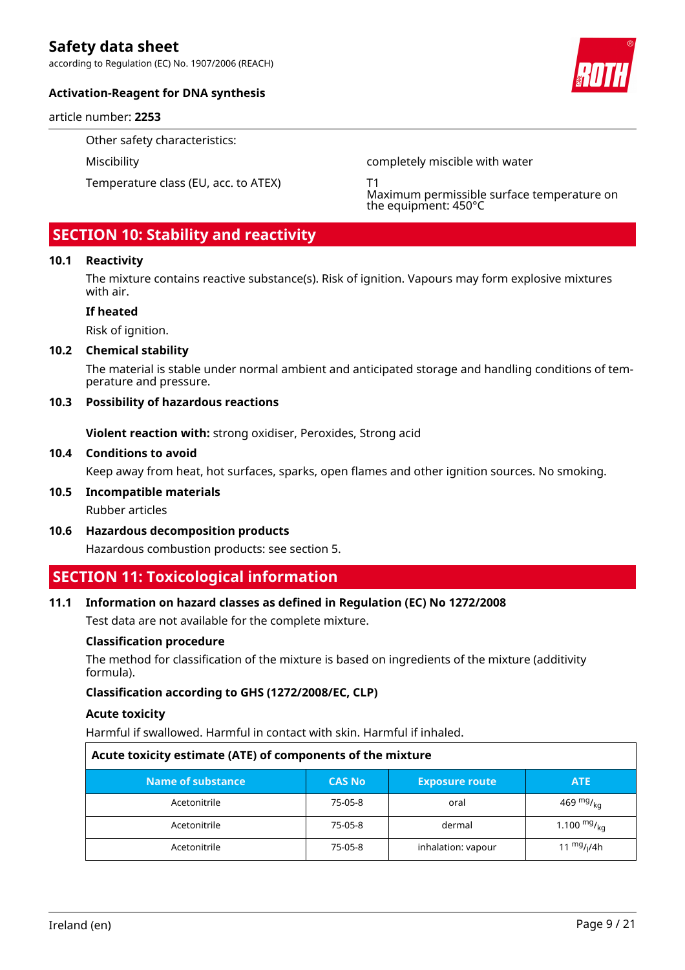according to Regulation (EC) No. 1907/2006 (REACH)

#### **Activation-Reagent for DNA synthesis**

article number: **2253**

Other safety characteristics:

Temperature class (EU, acc. to ATEX) T1

Miscibility completely miscible with water

Maximum permissible surface temperature on the equipment: 450°C

# **SECTION 10: Stability and reactivity**

#### **10.1 Reactivity**

The mixture contains reactive substance(s). Risk of ignition. Vapours may form explosive mixtures with air.

#### **If heated**

Risk of ignition.

#### **10.2 Chemical stability**

The material is stable under normal ambient and anticipated storage and handling conditions of temperature and pressure.

#### **10.3 Possibility of hazardous reactions**

**Violent reaction with:** strong oxidiser, Peroxides, Strong acid

#### **10.4 Conditions to avoid**

Keep away from heat, hot surfaces, sparks, open flames and other ignition sources. No smoking.

### **10.5 Incompatible materials**

Rubber articles

**10.6 Hazardous decomposition products**

Hazardous combustion products: see section 5.

# **SECTION 11: Toxicological information**

#### **11.1 Information on hazard classes as defined in Regulation (EC) No 1272/2008**

Test data are not available for the complete mixture.

#### **Classification procedure**

The method for classification of the mixture is based on ingredients of the mixture (additivity formula).

#### **Classification according to GHS (1272/2008/EC, CLP)**

#### **Acute toxicity**

Harmful if swallowed. Harmful in contact with skin. Harmful if inhaled.

| Acute toxicity estimate (ATE) of components of the mixture |               |                       |                  |  |  |  |  |
|------------------------------------------------------------|---------------|-----------------------|------------------|--|--|--|--|
| Name of substance                                          | <b>CAS No</b> | <b>Exposure route</b> | <b>ATE</b>       |  |  |  |  |
| Acetonitrile                                               | 75-05-8       | oral                  | 469 $mg/mg$      |  |  |  |  |
| Acetonitrile                                               | 75-05-8       | dermal                | 1.100 $mg/_{ka}$ |  |  |  |  |
| Acetonitrile                                               | 75-05-8       | inhalation: vapour    | 11 $mg/1/4h$     |  |  |  |  |

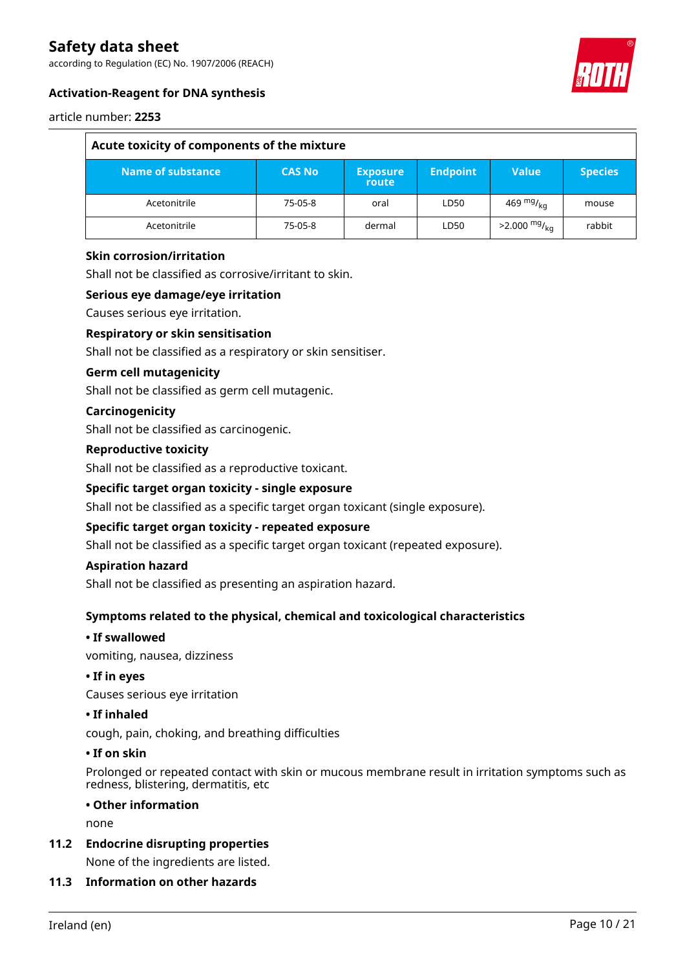according to Regulation (EC) No. 1907/2006 (REACH)



### **Activation-Reagent for DNA synthesis**

#### article number: **2253**

| Acute toxicity of components of the mixture |               |                          |                 |                        |                |  |
|---------------------------------------------|---------------|--------------------------|-----------------|------------------------|----------------|--|
| Name of substance                           | <b>CAS No</b> | <b>Exposure</b><br>route | <b>Endpoint</b> | <b>Value</b>           | <b>Species</b> |  |
| Acetonitrile                                | 75-05-8       | oral                     | LD50            | 469 mg/ $_{\rm kn}$    | mouse          |  |
| Acetonitrile                                | 75-05-8       | dermal                   | LD50            | $>2.000 \frac{mg}{ka}$ | rabbit         |  |

#### **Skin corrosion/irritation**

Shall not be classified as corrosive/irritant to skin.

#### **Serious eye damage/eye irritation**

Causes serious eye irritation.

#### **Respiratory or skin sensitisation**

Shall not be classified as a respiratory or skin sensitiser.

#### **Germ cell mutagenicity**

Shall not be classified as germ cell mutagenic.

#### **Carcinogenicity**

Shall not be classified as carcinogenic.

#### **Reproductive toxicity**

Shall not be classified as a reproductive toxicant.

#### **Specific target organ toxicity - single exposure**

Shall not be classified as a specific target organ toxicant (single exposure).

### **Specific target organ toxicity - repeated exposure**

Shall not be classified as a specific target organ toxicant (repeated exposure).

#### **Aspiration hazard**

Shall not be classified as presenting an aspiration hazard.

#### **Symptoms related to the physical, chemical and toxicological characteristics**

#### **• If swallowed**

vomiting, nausea, dizziness

#### **• If in eyes**

Causes serious eye irritation

#### **• If inhaled**

cough, pain, choking, and breathing difficulties

#### **• If on skin**

Prolonged or repeated contact with skin or mucous membrane result in irritation symptoms such as redness, blistering, dermatitis, etc

#### **• Other information**

none

#### **11.2 Endocrine disrupting properties**

None of the ingredients are listed.

### **11.3 Information on other hazards**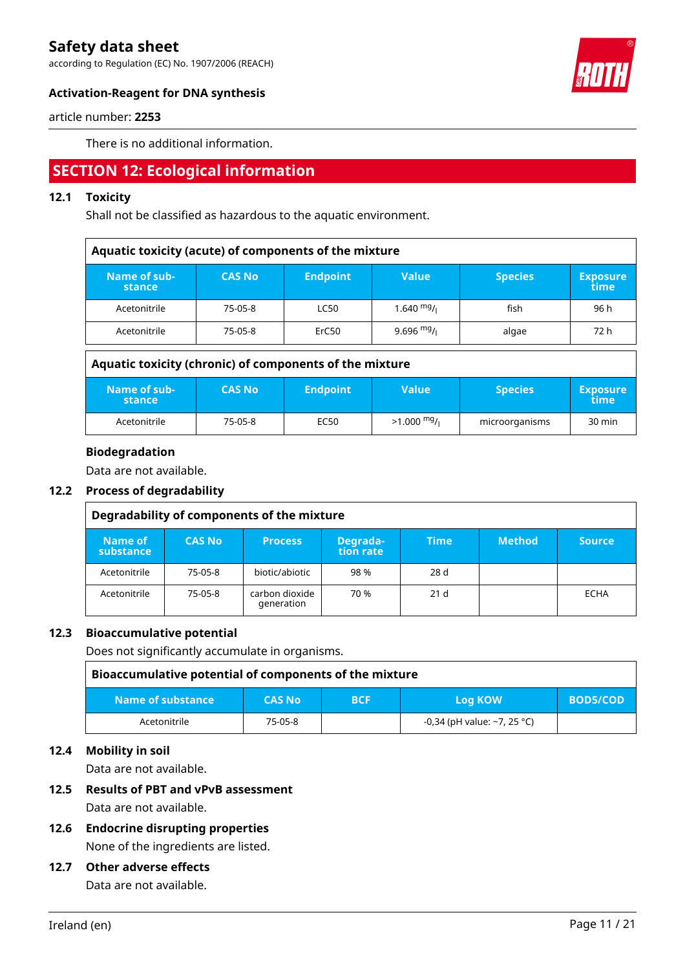according to Regulation (EC) No. 1907/2006 (REACH)



### **Activation-Reagent for DNA synthesis**

article number: **2253**

There is no additional information.

# **SECTION 12: Ecological information**

## **12.1 Toxicity**

Shall not be classified as hazardous to the aquatic environment.

| Aquatic toxicity (acute) of components of the mixture |               |                 |              |                |                         |  |
|-------------------------------------------------------|---------------|-----------------|--------------|----------------|-------------------------|--|
| Name of sub-<br>stance                                | <b>CAS No</b> | <b>Endpoint</b> | <b>Value</b> | <b>Species</b> | <b>Exposure</b><br>time |  |
| Acetonitrile                                          | 75-05-8       | <b>LC50</b>     | $1.640$ mg/  | fish           | 96 h                    |  |
| Acetonitrile                                          | 75-05-8       | ErC50           | 9.696 $mg/1$ | algae          | 72 h                    |  |

| Aquatic toxicity (chronic) of components of the mixture |               |                 |              |                |                         |  |
|---------------------------------------------------------|---------------|-----------------|--------------|----------------|-------------------------|--|
| Name of sub-<br>stance                                  | <b>CAS No</b> | <b>Endpoint</b> | <b>Value</b> | <b>Species</b> | <b>Exposure</b><br>time |  |
| Acetonitrile                                            | 75-05-8       | EC50            | $>1.000$ mg/ | microorganisms | $30 \text{ min}$        |  |

### **Biodegradation**

Data are not available.

### **12.2 Process of degradability**

| Degradability of components of the mixture |               |                              |                       |                 |               |        |
|--------------------------------------------|---------------|------------------------------|-----------------------|-----------------|---------------|--------|
| Name of<br>substance                       | <b>CAS No</b> | <b>Process</b>               | Degrada-<br>tion rate | <b>Time</b>     | <b>Method</b> | Source |
| Acetonitrile                               | 75-05-8       | biotic/abiotic               | 98%                   | 28 d            |               |        |
| Acetonitrile                               | 75-05-8       | carbon dioxide<br>generation | 70 %                  | 21 <sub>d</sub> |               | ECHA   |

#### **12.3 Bioaccumulative potential**

Does not significantly accumulate in organisms.

| Bioaccumulative potential of components of the mixture |               |            |                             |                 |  |  |
|--------------------------------------------------------|---------------|------------|-----------------------------|-----------------|--|--|
| Name of substance                                      | <b>CAS No</b> | <b>BCF</b> | <b>Log KOW</b>              | <b>BOD5/COD</b> |  |  |
| Acetonitrile                                           | 75-05-8       |            | -0,34 (pH value: ~7, 25 °C) |                 |  |  |

### **12.4 Mobility in soil**

Data are not available.

### **12.5 Results of PBT and vPvB assessment**

Data are not available.

**12.6 Endocrine disrupting properties** None of the ingredients are listed.

#### **12.7 Other adverse effects**

Data are not available.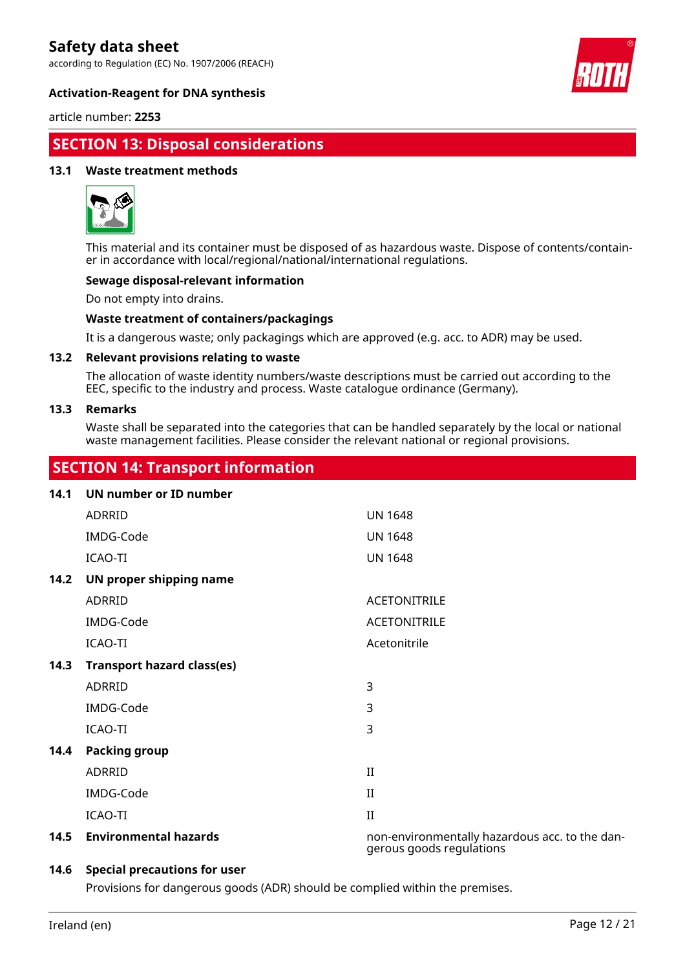according to Regulation (EC) No. 1907/2006 (REACH)



#### **Activation-Reagent for DNA synthesis**

article number: **2253**

# **SECTION 13: Disposal considerations**

#### **13.1 Waste treatment methods**



This material and its container must be disposed of as hazardous waste. Dispose of contents/container in accordance with local/regional/national/international regulations.

#### **Sewage disposal-relevant information**

Do not empty into drains.

#### **Waste treatment of containers/packagings**

It is a dangerous waste; only packagings which are approved (e.g. acc. to ADR) may be used.

#### **13.2 Relevant provisions relating to waste**

The allocation of waste identity numbers/waste descriptions must be carried out according to the EEC, specific to the industry and process. Waste catalogue ordinance (Germany).

#### **13.3 Remarks**

Waste shall be separated into the categories that can be handled separately by the local or national waste management facilities. Please consider the relevant national or regional provisions.

# **SECTION 14: Transport information**

| 14.1 | UN number or ID number            |                                                                            |
|------|-----------------------------------|----------------------------------------------------------------------------|
|      | <b>ADRRID</b>                     | <b>UN 1648</b>                                                             |
|      | IMDG-Code                         | <b>UN 1648</b>                                                             |
|      | ICAO-TI                           | <b>UN 1648</b>                                                             |
| 14.2 | UN proper shipping name           |                                                                            |
|      | ADRRID                            | <b>ACETONITRILE</b>                                                        |
|      | IMDG-Code                         | <b>ACETONITRILE</b>                                                        |
|      | ICAO-TI                           | Acetonitrile                                                               |
| 14.3 | <b>Transport hazard class(es)</b> |                                                                            |
|      | ADRRID                            | 3                                                                          |
|      | IMDG-Code                         | 3                                                                          |
|      | <b>ICAO-TI</b>                    | 3                                                                          |
| 14.4 | <b>Packing group</b>              |                                                                            |
|      | ADRRID                            | $\mathbf{I}$                                                               |
|      | IMDG-Code                         | $_{\rm II}$                                                                |
|      | ICAO-TI                           | $\mathbf{I}$                                                               |
| 14.5 | <b>Environmental hazards</b>      | non-environmentally hazardous acc. to the dan-<br>gerous goods regulations |

#### **14.6 Special precautions for user**

Provisions for dangerous goods (ADR) should be complied within the premises.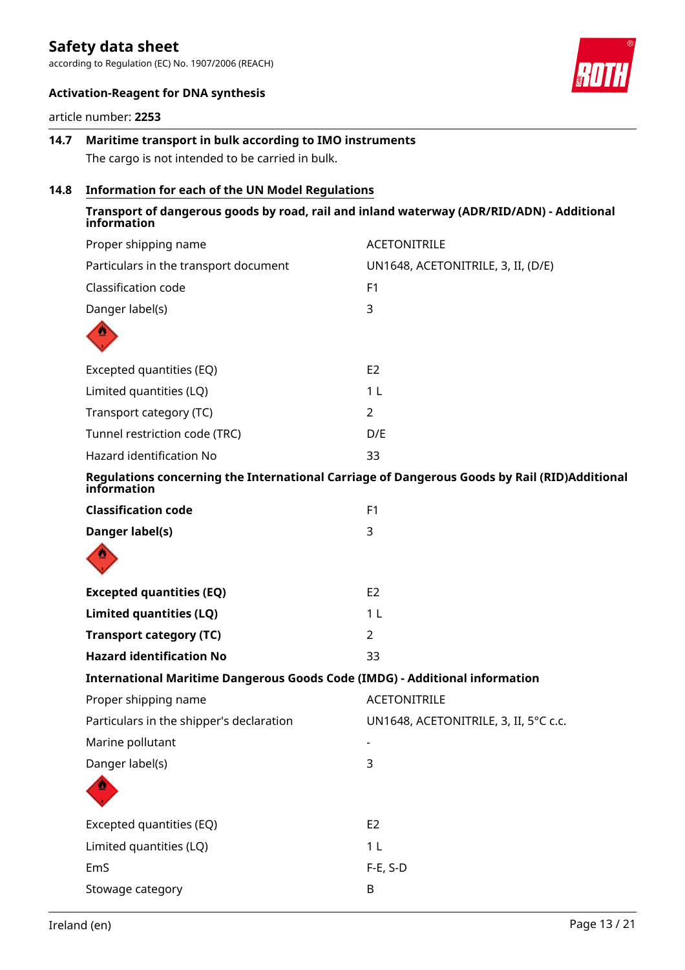according to Regulation (EC) No. 1907/2006 (REACH)

![](_page_12_Picture_2.jpeg)

#### **Activation-Reagent for DNA synthesis**

article number: **2253**

# **14.7 Maritime transport in bulk according to IMO instruments** The cargo is not intended to be carried in bulk.

# **14.8 Information for each of the UN Model Regulations**

| Transport of dangerous goods by road, rail and inland waterway (ADR/RID/ADN) - Additional                   |
|-------------------------------------------------------------------------------------------------------------|
| <b>ACETONITRILE</b>                                                                                         |
| UN1648, ACETONITRILE, 3, II, (D/E)                                                                          |
| F <sub>1</sub>                                                                                              |
| 3                                                                                                           |
|                                                                                                             |
| E2                                                                                                          |
| 1 <sub>L</sub>                                                                                              |
| $\overline{2}$                                                                                              |
| D/E                                                                                                         |
| 33                                                                                                          |
| Regulations concerning the International Carriage of Dangerous Goods by Rail (RID)Additional<br>information |
| F1                                                                                                          |
| 3                                                                                                           |
|                                                                                                             |
| E <sub>2</sub>                                                                                              |
| 1 <sub>L</sub>                                                                                              |
| 2                                                                                                           |
| 33                                                                                                          |
| International Maritime Dangerous Goods Code (IMDG) - Additional information                                 |
| <b>ACETONITRILE</b>                                                                                         |
| UN1648, ACETONITRILE, 3, II, 5°C c.c.                                                                       |
| ۰                                                                                                           |
| 3                                                                                                           |
|                                                                                                             |
| E <sub>2</sub>                                                                                              |
| 1 <sub>L</sub>                                                                                              |
| $F-E$ , S-D                                                                                                 |
| B                                                                                                           |
|                                                                                                             |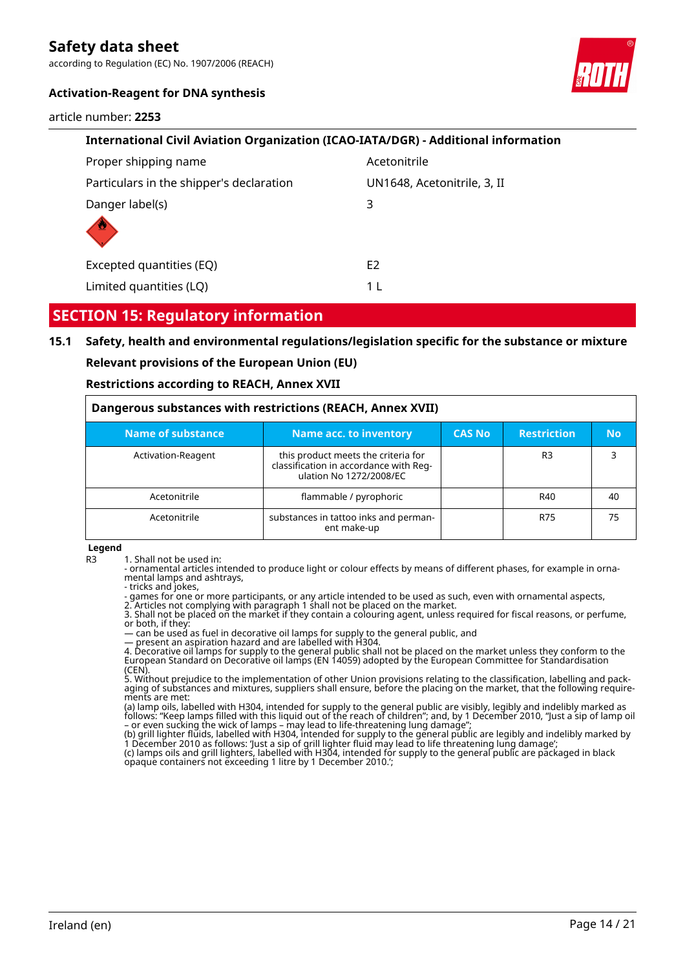according to Regulation (EC) No. 1907/2006 (REACH)

#### **Activation-Reagent for DNA synthesis**

article number: **2253**

![](_page_13_Picture_4.jpeg)

| International Civil Aviation Organization (ICAO-IATA/DGR) - Additional information |                             |  |  |  |
|------------------------------------------------------------------------------------|-----------------------------|--|--|--|
| Proper shipping name                                                               | Acetonitrile                |  |  |  |
| Particulars in the shipper's declaration                                           | UN1648, Acetonitrile, 3, II |  |  |  |
| Danger label(s)                                                                    | 3                           |  |  |  |
|                                                                                    |                             |  |  |  |
| Excepted quantities (EQ)                                                           | E <sub>2</sub>              |  |  |  |
| Limited quantities (LQ)                                                            | 1 I                         |  |  |  |

# **SECTION 15: Regulatory information**

## **15.1 Safety, health and environmental regulations/legislation specific for the substance or mixture**

#### **Relevant provisions of the European Union (EU)**

#### **Restrictions according to REACH, Annex XVII**

| Dangerous substances with restrictions (REACH, Annex XVII) |                                                                                                          |               |                    |     |  |  |
|------------------------------------------------------------|----------------------------------------------------------------------------------------------------------|---------------|--------------------|-----|--|--|
| Name of substance                                          | Name acc. to inventory                                                                                   | <b>CAS No</b> | <b>Restriction</b> | No. |  |  |
| Activation-Reagent                                         | this product meets the criteria for<br>classification in accordance with Reg-<br>ulation No 1272/2008/EC |               | R <sub>3</sub>     |     |  |  |
| Acetonitrile                                               | flammable / pyrophoric                                                                                   |               | R40                | 40  |  |  |
| Acetonitrile                                               | substances in tattoo inks and perman-<br>ent make-up                                                     |               | R75                | 75  |  |  |

#### **Legend**

R3 1. Shall not be used in:

- ornamental articles intended to produce light or colour effects by means of different phases, for example in ornamental lamps and ashtrays,

- tricks and jokes,

- games for one or more participants, or any article intended to be used as such, even with ornamental aspects,

2. Articles not complying with paragraph 1 shall not be placed on the market.

3. Shall not be placed on the market if they contain a colouring agent, unless required for fiscal reasons, or perfume, or both, if they:

— can be used as fuel in decorative oil lamps for supply to the general public, and

— present an aspiration hazard and are labelled with H304.

4. Decorative oil lamps for supply to the general public shall not be placed on the market unless they conform to the European Standard on Decorative oil lamps (EN 14059) adopted by the European Committee for Standardisation

(CEN). 5. Without prejudice to the implementation of other Union provisions relating to the classification, labelling and packaging of substances and mixtures, suppliers shall ensure, before the placing on the market, that the following requirements are met:

(a) lamp oils, labelled with H304, intended for supply to the general public are visibly, legibly and indelibly marked as follows: "Keep lamps filled with this liquid out of the reach of children"; and, by 1 December 2010, "Just a sip of lamp oil – or even sucking the wick of lamps – may lead to life-threatening lung damage";

(b) grill lighter fluids, labelled with H304, intended for supply to the general public are legibly and indelibly marked by 1 December 2010 as follows: 'Just a sip of grill lighter fluid may lead to life threatening lung damage'; (c) lamps oils and grill lighters, labelled with H304, intended for supply to the general public are packaged in black opaque containers not exceeding 1 litre by 1 December 2010.';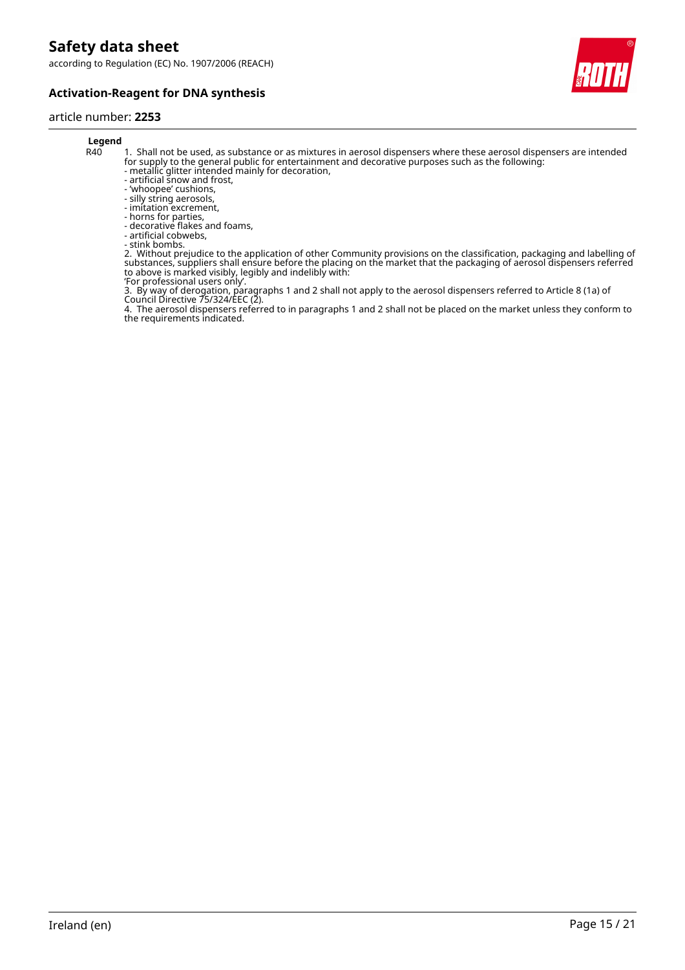according to Regulation (EC) No. 1907/2006 (REACH)

![](_page_14_Picture_2.jpeg)

![](_page_14_Picture_3.jpeg)

# article number: **2253**

# **Legend**<br>R40

- 1. Shall not be used, as substance or as mixtures in aerosol dispensers where these aerosol dispensers are intended for supply to the general public for entertainment and decorative purposes such as the following:
- metallic glitter intended mainly for decoration,
- artificial snow and frost,
- 'whoopee' cushions, - silly string aerosols,
- imitation excrement,
- horns for parties,
- decorative flakes and foams,
- artificial cobwebs,
- stink bombs.

2. Without prejudice to the application of other Community provisions on the classification, packaging and labelling of substances, suppliers shall ensure before the placing on the market that the packaging of aerosol dispensers referred to above is marked visibly, legibly and indelibly with:

'For professional users only'.

3. By way of derogation, paragraphs 1 and 2 shall not apply to the aerosol dispensers referred to Article 8 (1a) of Council Directive 75/324/EEC (2).

4. The aerosol dispensers referred to in paragraphs 1 and 2 shall not be placed on the market unless they conform to the requirements indicated.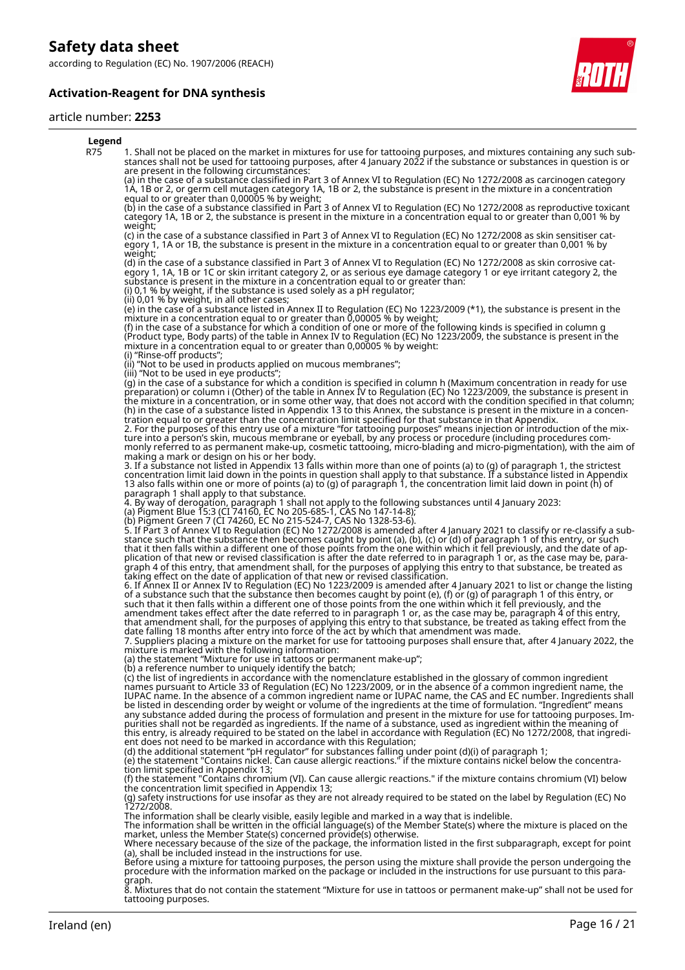according to Regulation (EC) No. 1907/2006 (REACH)

### **Activation-Reagent for DNA synthesis**

![](_page_15_Picture_3.jpeg)

#### article number: **2253**

![](_page_15_Picture_5.jpeg)

R75 1. Shall not be placed on the market in mixtures for use for tattooing purposes, and mixtures containing any such substances shall not be used for tattooing purposes, after 4 January 2022 if the substance or substances in question is or are present in the following circumstances:

(a) in the case of a substance classified in Part 3 of Annex VI to Regulation (EC) No 1272/2008 as carcinogen category 1A, 1B or 2, or germ cell mutagen category 1A, 1B or 2, the substance is present in the mixture in a concentration equal to or greater than 0,00005 % by weight;

(b) in the case of a substance classified in Part 3 of Annex VI to Regulation (EC) No 1272/2008 as reproductive toxicant category 1A, 1B or 2, the substance is present in the mixture in a concentration equal to or greater than 0,001 % by weight;

(c) in the case of a substance classified in Part 3 of Annex VI to Regulation (EC) No 1272/2008 as skin sensitiser category 1, 1A or 1B, the substance is present in the mixture in a concentration equal to or greater than 0,001 % by weight;

(d) in the case of a substance classified in Part 3 of Annex VI to Regulation (EC) No 1272/2008 as skin corrosive category 1, 1A, 1B or 1C or skin irritant category 2, or as serious eye damage category 1 or eye irritant category 2, the substance is present in the mixture in a concentration equal to or greater than: (i) 0,1 % by weight, if the substance is used solely as a pH regulator;

(ii) 0,01 % by weight, in all other cases;

(e) in the case of a substance listed in Annex II to Regulation (EC) No 1223/2009 (\*1), the substance is present in the mixture in a concentration equal to or greater than 0,00005 % by weight;

(f) in the case of a substance for which a condition of one or more of the following kinds is specified in column g (Product type, Body parts) of the table in Annex IV to Regulation (EC) No 1223/2009, the substance is present in the mixture in a concentration equal to or greater than 0,00005 % by weight: (i) "Rinse-off products";

(ii) "Not to be used in products applied on mucous membranes";

(iii) "Not to be used in eye products";

(g) in the case of a substance for which a condition is specified in column h (Maximum concentration in ready for use preparation) or column i (Other) of the table in Annex IV to Regulation (EC) No 1223/2009, the substance is present in the mixture in a concentration, or in some other way, that does not accord with the condition specified in that column; (h) in the case of a substance listed in Appendix 13 to this Annex, the substance is present in the mixture in a concentration equal to or greater than the concentration limit specified for that substance in that Appendix. 2. For the purposes of this entry use of a mixture "for tattooing purposes" means injection or introduction of the mixture into a person's skin, mucous membrane or eyeball, by any process or procedure (including procedures com-

monly referred to as permanent make-up, cosmetic tattooing, micro-blading and micro-pigmentation), with the aim of making a mark or design on his or her body.

3. If a substance not listed in Appendix 13 falls within more than one of points (a) to (g) of paragraph 1, the strictest concentration limit laid down in the points in question shall apply to that substance. If a substance listed in Appendix 13 also falls within one or more of points (a) to (g) of paragraph 1, the concentration limit laid down in point (h) of paragraph 1 shall apply to that substance.

4. By way of derogation, paragraph 1 shall not apply to the following substances until 4 January 2023:

(a) Pigment Blue 15:3 (CI 74160, EC No 205-685-1, CAS No 147-14-8);

(b) Pigment Green 7 (CI 74260, EC No 215-524-7, CAS No 1328-53-6).

5. If Part 3 of Annex VI to Regulation (EC) No 1272/2008 is amended after 4 January 2021 to classify or re-classify a substance such that the substance then becomes caught by point (a), (b), (c) or (d) of paragraph 1 of this entry, or such that it then falls within a different one of those points from the one within which it fell previously, and the date of application of that new or revised classification is after the date referred to in paragraph 1 or, as the case may be, paragraph 4 of this entry, that amendment shall, for the purposes of applying this entry to that substance, be treated as taking effect on the date of application of that new or revised classification.

6. If Annex II or Annex IV to Regulation (EC) No 1223/2009 is amended after 4 January 2021 to list or change the listing of a substance such that the substance then becomes caught by point (e), (f) or (g) of paragraph 1 of this entry, or such that it then falls within a different one of those points from the one within which it fell previously, and the amendment takes effect after the date referred to in paragraph 1 or, as the case may be, paragraph 4 of this entry,

that amendment shall, for the purposes of applying this entry to that substance, be treated as taking effect from the date falling 18 months after entry into force of the act by which that amendment was made. 7. Suppliers placing a mixture on the market for use for tattooing purposes shall ensure that, after 4 January 2022, the

mixture is marked with the following information:

(a) the statement "Mixture for use in tattoos or permanent make-up";

(b) a reference number to uniquely identify the batch;

(c) the list of ingredients in accordance with the nomenclature established in the glossary of common ingredient names pursuant to Article 33 of Regulation (EC) No 1223/2009, or in the absence of a common ingredient name, the IUPAC name. In the absence of a common ingredient name or IUPAC name, the CAS and EC number. Ingredients shall be listed in descending order by weight or volume of the ingredients at the time of formulation. "Ingredient" means any substance added during the process of formulation and present in the mixture for use for tattooing purposes. Impurities shall not be regarded as ingredients. If the name of a substance, used as ingredient within the meaning of this entry, is already required to be stated on the label in accordance with Regulation (EC) No 1272/2008, that ingredient does not need to be marked in accordance with this Regulation;

(d) the additional statement "pH regulator" for substances falling under point (d)(i) of paragraph 1;

(e) the statement "Contains nickel. Can cause allergic reactions." if the mixture contains nickel below the concentration limit specified in Appendix 13;

(f) the statement "Contains chromium (VI). Can cause allergic reactions." if the mixture contains chromium (VI) below the concentration limit specified in Appendix 13;

(g) safety instructions for use insofar as they are not already required to be stated on the label by Regulation (EC) No 1272/2008.

The information shall be clearly visible, easily legible and marked in a way that is indelible.<br>The information shall be written in the official language(s) of the Member State(s) where the mixture is placed on the<br>market,

Where necessary because of the size of the package, the information listed in the first subparagraph, except for point (a), shall be included instead in the instructions for use.

Before using a mixture for tattooing purposes, the person using the mixture shall provide the person undergoing the procedure with the information marked on the package or included in the instructions for use pursuant to this paragraph.

8. Mixtures that do not contain the statement "Mixture for use in tattoos or permanent make-up" shall not be used for tattooing purposes.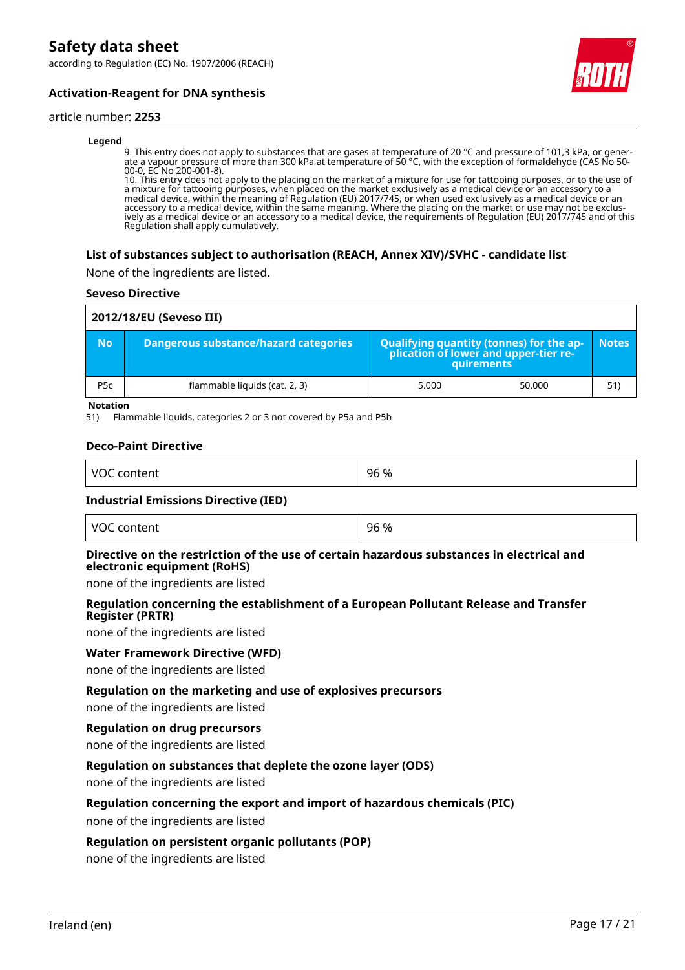according to Regulation (EC) No. 1907/2006 (REACH)

![](_page_16_Picture_2.jpeg)

### **Activation-Reagent for DNA synthesis**

#### article number: **2253**

#### **Legend**

9. This entry does not apply to substances that are gases at temperature of 20 °C and pressure of 101,3 kPa, or generate a vapour pressure of more than 300 kPa at temperature of 50 °C, with the exception of formaldehyde (CAS No 50- 00-0, EC No 200-001-8).

10. This entry does not apply to the placing on the market of a mixture for use for tattooing purposes, or to the use of a mixture for tattooing purposes, when placed on the market exclusively as a medical device or an accessory to a medical device, within the meaning of Regulation (EU) 2017/745, or when used exclusively as a medical device or an accessory to a medical device, within the same meaning. Where the placing on the market or use may not be exclusively as a medical device or an accessory to a medical device, the requirements of Regulation (EU) 2017/745 and of this Regulation shall apply cumulatively.

#### **List of substances subject to authorisation (REACH, Annex XIV)/SVHC - candidate list**

None of the ingredients are listed.

#### **Seveso Directive**

|                  | 2012/18/EU (Seveso III)               |                                                                                                 |        |              |  |  |
|------------------|---------------------------------------|-------------------------------------------------------------------------------------------------|--------|--------------|--|--|
| <b>No</b>        | Dangerous substance/hazard categories | Qualifying quantity (tonnes) for the ap-<br>plication of lower and upper-tier re-<br>quirements |        | <b>Notes</b> |  |  |
| P <sub>5</sub> c | flammable liquids (cat. 2, 3)         | 5.000                                                                                           | 50.000 | 51)          |  |  |

**Notation**

51) Flammable liquids, categories 2 or 3 not covered by P5a and P5b

#### **Deco-Paint Directive**

| . VC<br>и<br>.<br>. | $\%$<br>96<br>__ |
|---------------------|------------------|
|                     |                  |

#### **Industrial Emissions Directive (IED)**

| VOC 、<br>content | 96 % |
|------------------|------|
|                  |      |

#### **Directive on the restriction of the use of certain hazardous substances in electrical and electronic equipment (RoHS)**

none of the ingredients are listed

#### **Regulation concerning the establishment of a European Pollutant Release and Transfer Register (PRTR)**

none of the ingredients are listed

#### **Water Framework Directive (WFD)**

none of the ingredients are listed

#### **Regulation on the marketing and use of explosives precursors**

none of the ingredients are listed

#### **Regulation on drug precursors**

none of the ingredients are listed

#### **Regulation on substances that deplete the ozone layer (ODS)**

none of the ingredients are listed

#### **Regulation concerning the export and import of hazardous chemicals (PIC)**

none of the ingredients are listed

#### **Regulation on persistent organic pollutants (POP)**

none of the ingredients are listed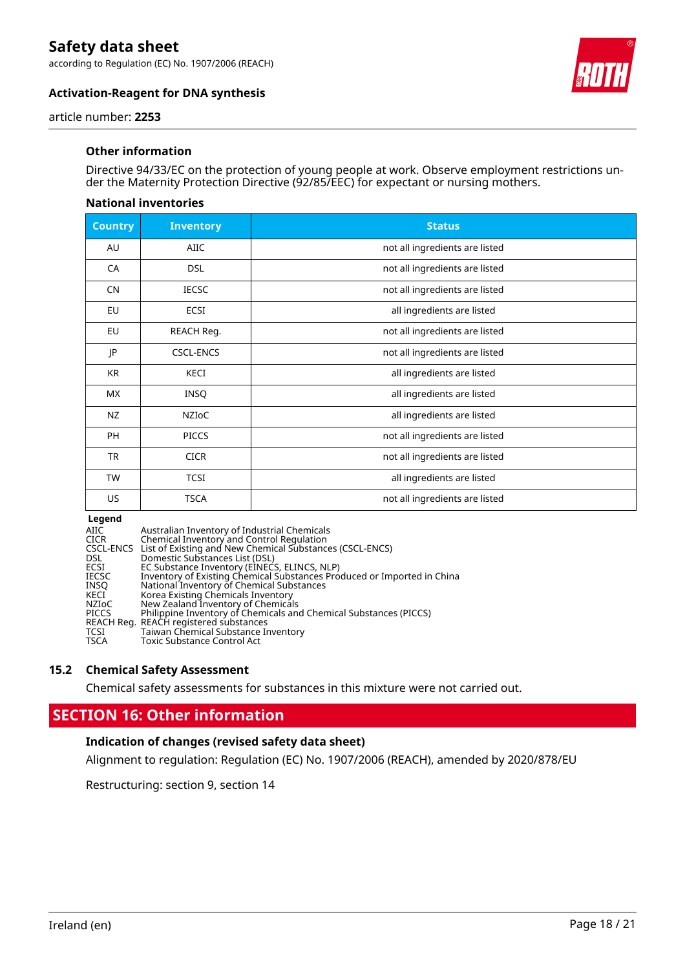according to Regulation (EC) No. 1907/2006 (REACH)

![](_page_17_Picture_2.jpeg)

### **Activation-Reagent for DNA synthesis**

article number: **2253**

#### **Other information**

Directive 94/33/EC on the protection of young people at work. Observe employment restrictions under the Maternity Protection Directive (92/85/EEC) for expectant or nursing mothers.

#### **National inventories**

| <b>Country</b> | <b>Inventory</b> | <b>Status</b>                  |
|----------------|------------------|--------------------------------|
| AU             | AIIC             | not all ingredients are listed |
| CA             | <b>DSL</b>       | not all ingredients are listed |
| <b>CN</b>      | <b>IECSC</b>     | not all ingredients are listed |
| EU             | ECSI             | all ingredients are listed     |
| EU             | REACH Reg.       | not all ingredients are listed |
| JP             | <b>CSCL-ENCS</b> | not all ingredients are listed |
| <b>KR</b>      | <b>KECI</b>      | all ingredients are listed     |
| МX             | <b>INSQ</b>      | all ingredients are listed     |
| NZ             | <b>NZIOC</b>     | all ingredients are listed     |
| <b>PH</b>      | <b>PICCS</b>     | not all ingredients are listed |
| <b>TR</b>      | <b>CICR</b>      | not all ingredients are listed |
| <b>TW</b>      | <b>TCSI</b>      | all ingredients are listed     |
| US             | <b>TSCA</b>      | not all ingredients are listed |

#### **Legend**

AIIC Australian Inventory of Industrial Chemical<br>CICR Chemical Inventory and Control Regulation<br>CSCL-ENCS List of Existing and New Chemical Substance<br>DSL DOSL ECSI EC Substance Inventory (EINECS, ELINCS, NL<br>IECSC Inventory CICR Chemical Inventory and Control Regulation CSCL-ENCS List of Existing and New Chemical Substances (CSCL-ENCS) DSL Domestic Substances List (DSL) ECSI EC Substance Inventory (EINECS, ELINCS, NLP) IECSC Inventory of Existing Chemical Substances Produced or Imported in China INSQ National Inventory of Chemical Substances KECI Korea Existing Chemicals Inventory NZIoC New Zealand Inventory of Chemicals PICCS Philippine Inventory of Chemicals and Chemical Substances (PICCS) REACH Reg. REACH registered substances TCSI Taiwan Chemical Substance Inventory TSCA Toxic Substance Control Act

#### **15.2 Chemical Safety Assessment**

Chemical safety assessments for substances in this mixture were not carried out.

# **SECTION 16: Other information**

#### **Indication of changes (revised safety data sheet)**

Alignment to regulation: Regulation (EC) No. 1907/2006 (REACH), amended by 2020/878/EU

Restructuring: section 9, section 14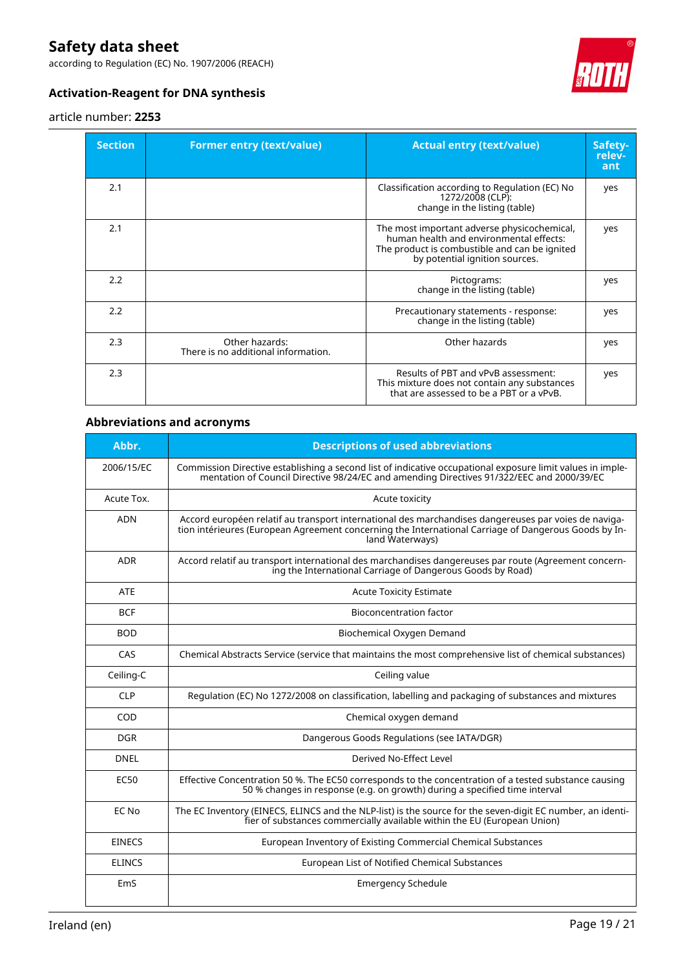according to Regulation (EC) No. 1907/2006 (REACH)

![](_page_18_Picture_2.jpeg)

## **Activation-Reagent for DNA synthesis**

#### article number: **2253**

| <b>Section</b> | <b>Former entry (text/value)</b>                      | <b>Actual entry (text/value)</b>                                                                                                                                          | Safety-<br>relev-<br>ant |
|----------------|-------------------------------------------------------|---------------------------------------------------------------------------------------------------------------------------------------------------------------------------|--------------------------|
| 2.1            |                                                       | Classification according to Regulation (EC) No<br>1272/2008 (CLP):<br>change in the listing (table)                                                                       | yes                      |
| 2.1            |                                                       | The most important adverse physicochemical,<br>human health and environmental effects:<br>The product is combustible and can be ignited<br>by potential ignition sources. | yes                      |
| 2.2            |                                                       | Pictograms:<br>change in the listing (table)                                                                                                                              | yes                      |
| 2.2            |                                                       | Precautionary statements - response:<br>change in the listing (table)                                                                                                     | yes                      |
| 2.3            | Other hazards:<br>There is no additional information. | Other hazards                                                                                                                                                             | yes                      |
| 2.3            |                                                       | Results of PBT and vPvB assessment:<br>This mixture does not contain any substances<br>that are assessed to be a PBT or a vPvB.                                           | yes                      |

## **Abbreviations and acronyms**

| Abbr.         | <b>Descriptions of used abbreviations</b>                                                                                                                                                                                       |
|---------------|---------------------------------------------------------------------------------------------------------------------------------------------------------------------------------------------------------------------------------|
| 2006/15/EC    | Commission Directive establishing a second list of indicative occupational exposure limit values in imple-<br>mentation of Council Directive 98/24/EC and amending Directives 91/322/EEC and 2000/39/EC                         |
| Acute Tox.    | Acute toxicity                                                                                                                                                                                                                  |
| <b>ADN</b>    | Accord européen relatif au transport international des marchandises dangereuses par voies de naviga-<br>tion intérieures (European Agreement concerning the International Carriage of Dangerous Goods by In-<br>land Waterways) |
| <b>ADR</b>    | Accord relatif au transport international des marchandises dangereuses par route (Agreement concern-<br>ing the International Carriage of Dangerous Goods by Road)                                                              |
| <b>ATE</b>    | <b>Acute Toxicity Estimate</b>                                                                                                                                                                                                  |
| <b>BCF</b>    | <b>Bioconcentration factor</b>                                                                                                                                                                                                  |
| <b>BOD</b>    | Biochemical Oxygen Demand                                                                                                                                                                                                       |
| CAS           | Chemical Abstracts Service (service that maintains the most comprehensive list of chemical substances)                                                                                                                          |
| Ceiling-C     | Ceiling value                                                                                                                                                                                                                   |
| <b>CLP</b>    | Regulation (EC) No 1272/2008 on classification, labelling and packaging of substances and mixtures                                                                                                                              |
| COD           | Chemical oxygen demand                                                                                                                                                                                                          |
| <b>DGR</b>    | Dangerous Goods Regulations (see IATA/DGR)                                                                                                                                                                                      |
| <b>DNEL</b>   | Derived No-Effect Level                                                                                                                                                                                                         |
| <b>EC50</b>   | Effective Concentration 50 %. The EC50 corresponds to the concentration of a tested substance causing<br>50 % changes in response (e.g. on growth) during a specified time interval                                             |
| EC No         | The EC Inventory (EINECS, ELINCS and the NLP-list) is the source for the seven-digit EC number, an identi-<br>fier of substances commercially available within the EU (European Union)                                          |
| <b>EINECS</b> | European Inventory of Existing Commercial Chemical Substances                                                                                                                                                                   |
| <b>ELINCS</b> | European List of Notified Chemical Substances                                                                                                                                                                                   |
| EmS           | <b>Emergency Schedule</b>                                                                                                                                                                                                       |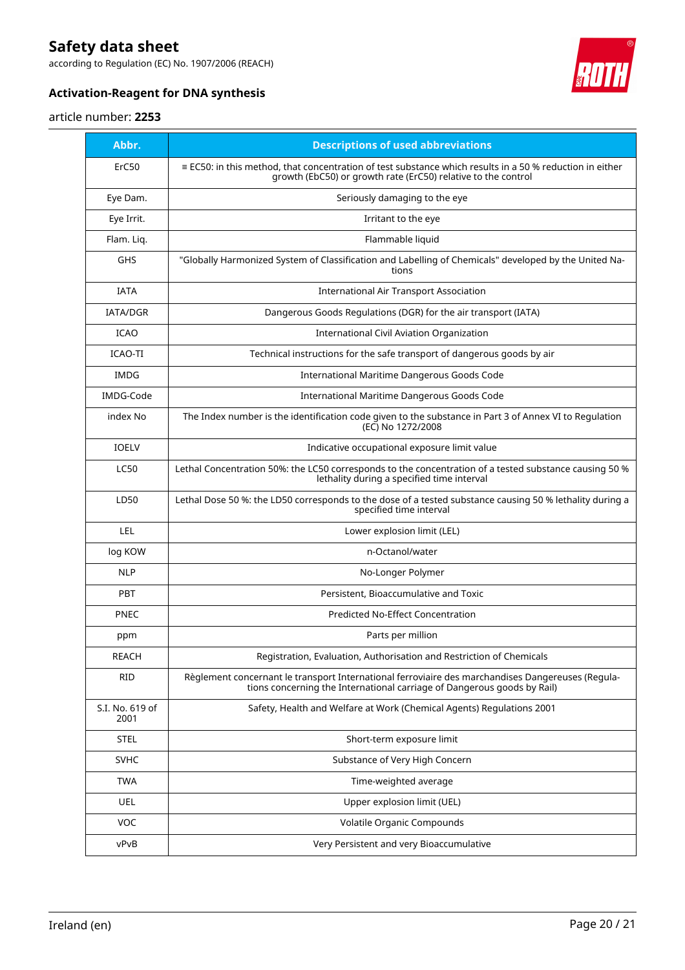according to Regulation (EC) No. 1907/2006 (REACH)

![](_page_19_Picture_2.jpeg)

# **Activation-Reagent for DNA synthesis**

#### article number: **2253**

| Abbr.                   | <b>Descriptions of used abbreviations</b>                                                                                                                                        |
|-------------------------|----------------------------------------------------------------------------------------------------------------------------------------------------------------------------------|
| ErC50                   | $\equiv$ EC50: in this method, that concentration of test substance which results in a 50 % reduction in either<br>growth (EbC50) or growth rate (ErC50) relative to the control |
| Eye Dam.                | Seriously damaging to the eye                                                                                                                                                    |
| Eye Irrit.              | Irritant to the eye                                                                                                                                                              |
| Flam. Liq.              | Flammable liquid                                                                                                                                                                 |
| <b>GHS</b>              | "Globally Harmonized System of Classification and Labelling of Chemicals" developed by the United Na-<br>tions                                                                   |
| <b>IATA</b>             | <b>International Air Transport Association</b>                                                                                                                                   |
| <b>IATA/DGR</b>         | Dangerous Goods Regulations (DGR) for the air transport (IATA)                                                                                                                   |
| <b>ICAO</b>             | International Civil Aviation Organization                                                                                                                                        |
| ICAO-TI                 | Technical instructions for the safe transport of dangerous goods by air                                                                                                          |
| IMDG                    | International Maritime Dangerous Goods Code                                                                                                                                      |
| <b>IMDG-Code</b>        | International Maritime Dangerous Goods Code                                                                                                                                      |
| index No                | The Index number is the identification code given to the substance in Part 3 of Annex VI to Regulation<br>(EC) No 1272/2008                                                      |
| <b>IOELV</b>            | Indicative occupational exposure limit value                                                                                                                                     |
| <b>LC50</b>             | Lethal Concentration 50%: the LC50 corresponds to the concentration of a tested substance causing 50 %<br>lethality during a specified time interval                             |
| LD50                    | Lethal Dose 50 %: the LD50 corresponds to the dose of a tested substance causing 50 % lethality during a<br>specified time interval                                              |
| LEL                     | Lower explosion limit (LEL)                                                                                                                                                      |
| log KOW                 | n-Octanol/water                                                                                                                                                                  |
| <b>NLP</b>              | No-Longer Polymer                                                                                                                                                                |
| PBT                     | Persistent, Bioaccumulative and Toxic                                                                                                                                            |
| <b>PNEC</b>             | Predicted No-Effect Concentration                                                                                                                                                |
| ppm                     | Parts per million                                                                                                                                                                |
| <b>REACH</b>            | Registration, Evaluation, Authorisation and Restriction of Chemicals                                                                                                             |
| RID                     | Règlement concernant le transport International ferroviaire des marchandises Dangereuses (Regula-<br>tions concerning the International carriage of Dangerous goods by Rail)     |
| S.I. No. 619 of<br>2001 | Safety, Health and Welfare at Work (Chemical Agents) Regulations 2001                                                                                                            |
| <b>STEL</b>             | Short-term exposure limit                                                                                                                                                        |
| SVHC                    | Substance of Very High Concern                                                                                                                                                   |
| <b>TWA</b>              | Time-weighted average                                                                                                                                                            |
| UEL                     | Upper explosion limit (UEL)                                                                                                                                                      |
| VOC                     | Volatile Organic Compounds                                                                                                                                                       |
| vPvB                    | Very Persistent and very Bioaccumulative                                                                                                                                         |